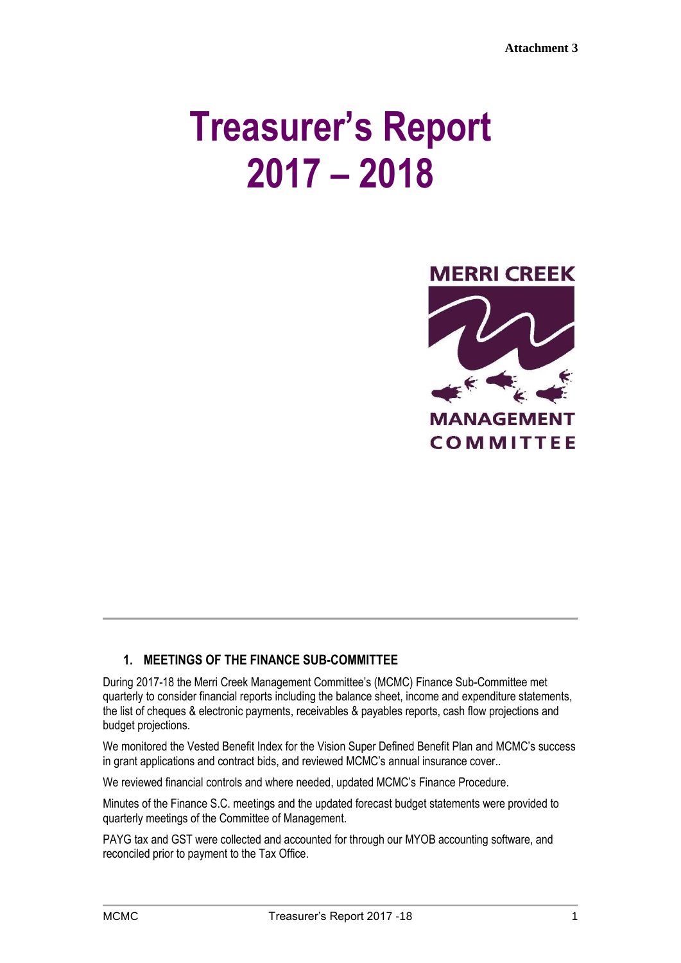# **Treasurer's Report 2017 – 2018**



## **1. MEETINGS OF THE FINANCE SUB-COMMITTEE**

During 2017-18 the Merri Creek Management Committee's (MCMC) Finance Sub-Committee met quarterly to consider financial reports including the balance sheet, income and expenditure statements, the list of cheques & electronic payments, receivables & payables reports, cash flow projections and budget projections.

We monitored the Vested Benefit Index for the Vision Super Defined Benefit Plan and MCMC's success in grant applications and contract bids, and reviewed MCMC's annual insurance cover..

We reviewed financial controls and where needed, updated MCMC's Finance Procedure.

Minutes of the Finance S.C. meetings and the updated forecast budget statements were provided to quarterly meetings of the Committee of Management.

PAYG tax and GST were collected and accounted for through our MYOB accounting software, and reconciled prior to payment to the Tax Office.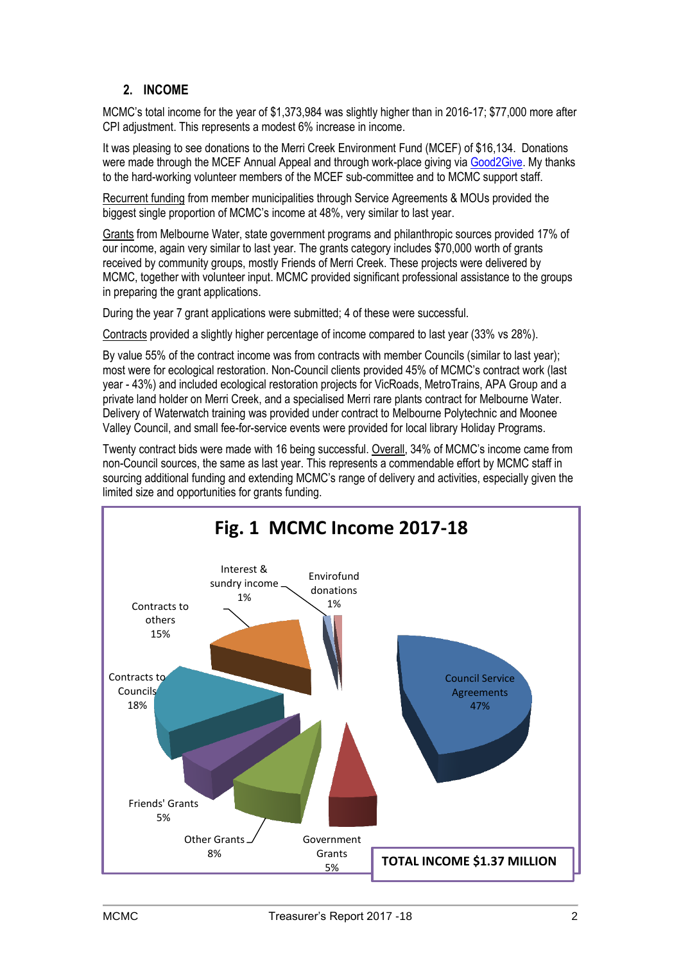# **2. INCOME**

MCMC's total income for the year of \$1,373,984 was slightly higher than in 2016-17; \$77,000 more after CPI adjustment. This represents a modest 6% increase in income.

It was pleasing to see donations to the Merri Creek Environment Fund (MCEF) of \$16,134. Donations were made through the MCEF Annual Appeal and through work-place giving via [Good2Give.](https://good2give.ngo/) My thanks to the hard-working volunteer members of the MCEF sub-committee and to MCMC support staff.

Recurrent funding from member municipalities through Service Agreements & MOUs provided the biggest single proportion of MCMC's income at 48%, very similar to last year.

Grants from Melbourne Water, state government programs and philanthropic sources provided 17% of our income, again very similar to last year. The grants category includes \$70,000 worth of grants received by community groups, mostly Friends of Merri Creek. These projects were delivered by MCMC, together with volunteer input. MCMC provided significant professional assistance to the groups in preparing the grant applications.

During the year 7 grant applications were submitted; 4 of these were successful.

Contracts provided a slightly higher percentage of income compared to last year (33% vs 28%).

By value 55% of the contract income was from contracts with member Councils (similar to last year); most were for ecological restoration. Non-Council clients provided 45% of MCMC's contract work (last year - 43%) and included ecological restoration projects for VicRoads, MetroTrains, APA Group and a private land holder on Merri Creek, and a specialised Merri rare plants contract for Melbourne Water. Delivery of Waterwatch training was provided under contract to Melbourne Polytechnic and Moonee Valley Council, and small fee-for-service events were provided for local library Holiday Programs.

Twenty contract bids were made with 16 being successful. Overall, 34% of MCMC's income came from non-Council sources, the same as last year. This represents a commendable effort by MCMC staff in sourcing additional funding and extending MCMC's range of delivery and activities, especially given the limited size and opportunities for grants funding.

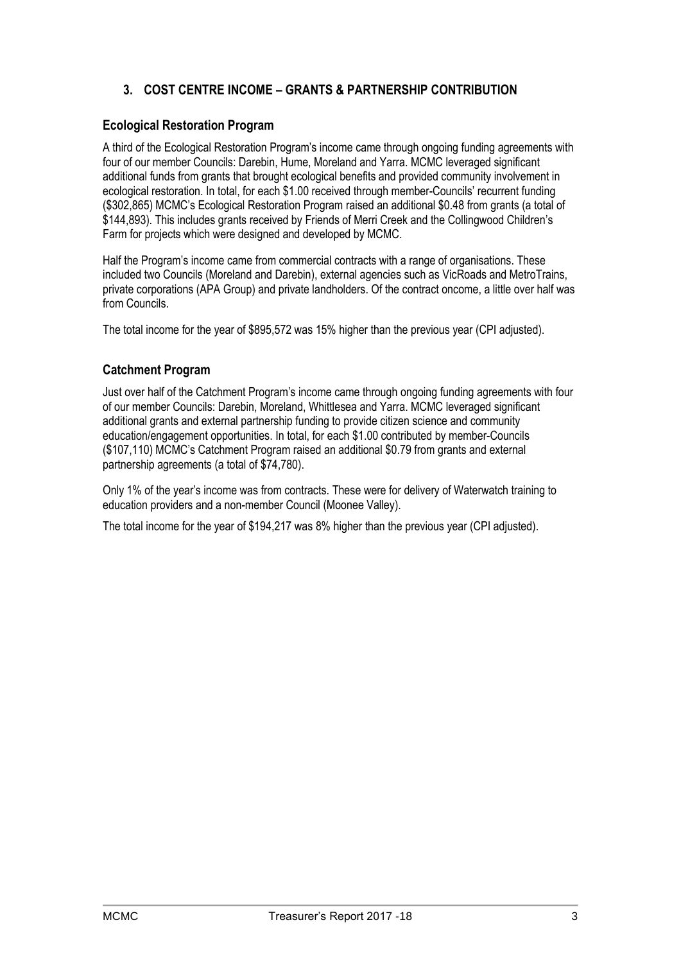# **3. COST CENTRE INCOME – GRANTS & PARTNERSHIP CONTRIBUTION**

#### **Ecological Restoration Program**

A third of the Ecological Restoration Program's income came through ongoing funding agreements with four of our member Councils: Darebin, Hume, Moreland and Yarra. MCMC leveraged significant additional funds from grants that brought ecological benefits and provided community involvement in ecological restoration. In total, for each \$1.00 received through member-Councils' recurrent funding (\$302,865) MCMC's Ecological Restoration Program raised an additional \$0.48 from grants (a total of \$144,893). This includes grants received by Friends of Merri Creek and the Collingwood Children's Farm for projects which were designed and developed by MCMC.

Half the Program's income came from commercial contracts with a range of organisations. These included two Councils (Moreland and Darebin), external agencies such as VicRoads and MetroTrains, private corporations (APA Group) and private landholders. Of the contract oncome, a little over half was from Councils.

The total income for the year of \$895,572 was 15% higher than the previous year (CPI adjusted).

#### **Catchment Program**

Just over half of the Catchment Program's income came through ongoing funding agreements with four of our member Councils: Darebin, Moreland, Whittlesea and Yarra. MCMC leveraged significant additional grants and external partnership funding to provide citizen science and community education/engagement opportunities. In total, for each \$1.00 contributed by member-Councils (\$107,110) MCMC's Catchment Program raised an additional \$0.79 from grants and external partnership agreements (a total of \$74,780).

Only 1% of the year's income was from contracts. These were for delivery of Waterwatch training to education providers and a non-member Council (Moonee Valley).

The total income for the year of \$194,217 was 8% higher than the previous year (CPI adjusted).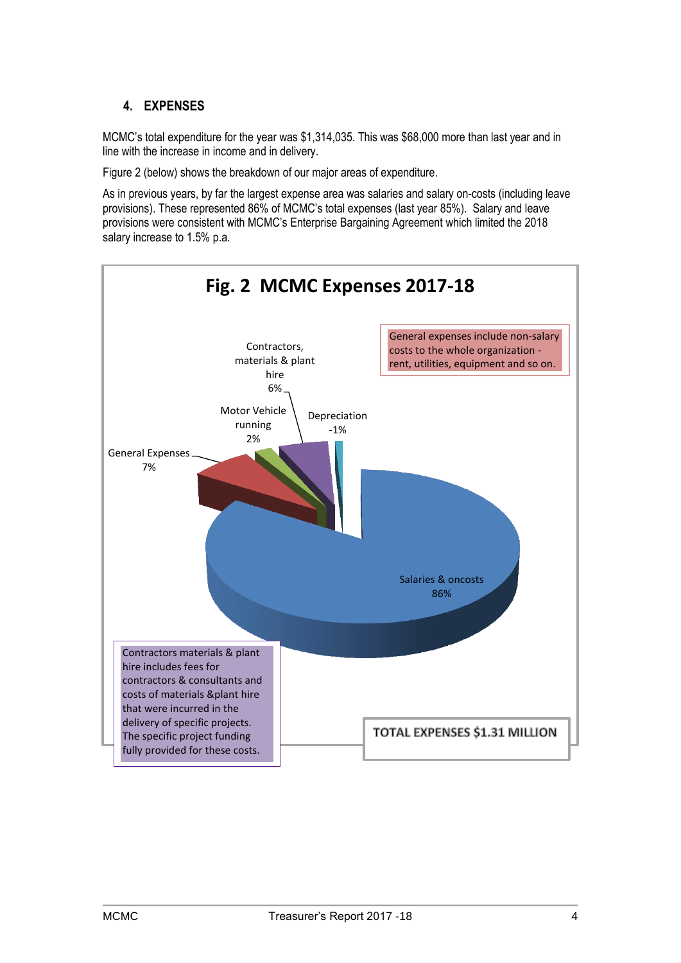## **4. EXPENSES**

MCMC's total expenditure for the year was \$1,314,035. This was \$68,000 more than last year and in line with the increase in income and in delivery.

Figure 2 (below) shows the breakdown of our major areas of expenditure.

As in previous years, by far the largest expense area was salaries and salary on-costs (including leave provisions). These represented 86% of MCMC's total expenses (last year 85%). Salary and leave provisions were consistent with MCMC's Enterprise Bargaining Agreement which limited the 2018 salary increase to 1.5% p.a.

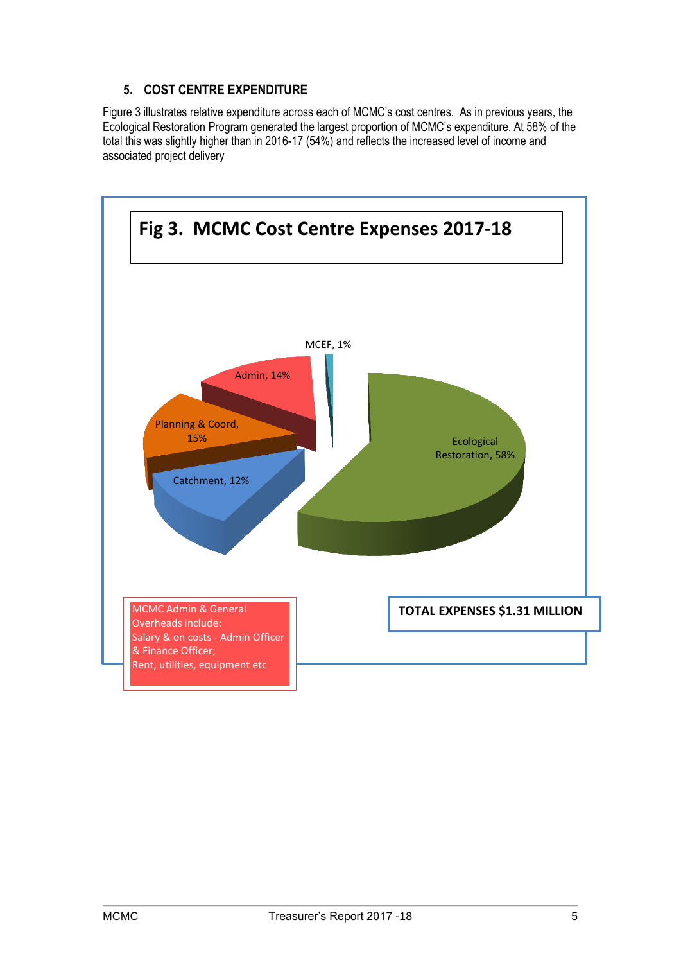## **5. COST CENTRE EXPENDITURE**

Figure 3 illustrates relative expenditure across each of MCMC's cost centres. As in previous years, the Ecological Restoration Program generated the largest proportion of MCMC's expenditure. At 58% of the total this was slightly higher than in 2016-17 (54%) and reflects the increased level of income and associated project delivery